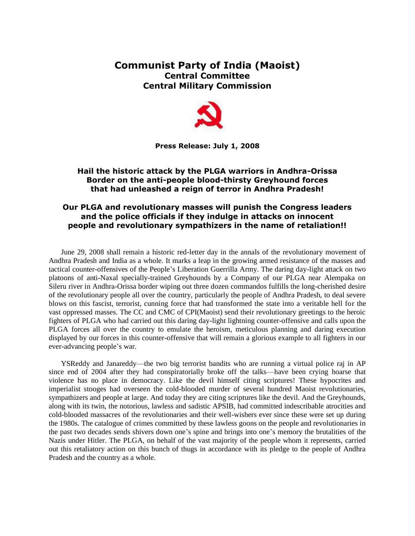## **Communist Party of India (Maoist) Central Committee Central Military Commission**



**Press Release: July 1, 2008**

## **Hail the historic attack by the PLGA warriors in Andhra-Orissa Border on the anti-people blood-thirsty Greyhound forces that had unleashed a reign of terror in Andhra Pradesh!**

## **Our PLGA and revolutionary masses will punish the Congress leaders and the police officials if they indulge in attacks on innocent people and revolutionary sympathizers in the name of retaliation!!**

June 29, 2008 shall remain a historic red-letter day in the annals of the revolutionary movement of Andhra Pradesh and India as a whole. It marks a leap in the growing armed resistance of the masses and tactical counter-offensives of the People's Liberation Guerrilla Army. The daring day-light attack on two platoons of anti-Naxal specially-trained Greyhounds by a Company of our PLGA near Alempaka on Sileru river in Andhra-Orissa border wiping out three dozen commandos fulfills the long-cherished desire of the revolutionary people all over the country, particularly the people of Andhra Pradesh, to deal severe blows on this fascist, terrorist, cunning force that had transformed the state into a veritable hell for the vast oppressed masses. The CC and CMC of CPI(Maoist) send their revolutionary greetings to the heroic fighters of PLGA who had carried out this daring day-light lightning counter-offensive and calls upon the PLGA forces all over the country to emulate the heroism, meticulous planning and daring execution displayed by our forces in this counter-offensive that will remain a glorious example to all fighters in our ever-advancing people's war.

YSReddy and Janareddy—the two big terrorist bandits who are running a virtual police raj in AP since end of 2004 after they had conspiratorially broke off the talks—have been crying hoarse that violence has no place in democracy. Like the devil himself citing scriptures! These hypocrites and imperialist stooges had overseen the cold-blooded murder of several hundred Maoist revolutionaries, sympathizers and people at large. And today they are citing scriptures like the devil. And the Greyhounds, along with its twin, the notorious, lawless and sadistic APSIB, had committed indescribable atrocities and cold-blooded massacres of the revolutionaries and their well-wishers ever since these were set up during the 1980s. The catalogue of crimes committed by these lawless goons on the people and revolutionaries in the past two decades sends shivers down one's spine and brings into one's memory the brutalities of the Nazis under Hitler. The PLGA, on behalf of the vast majority of the people whom it represents, carried out this retaliatory action on this bunch of thugs in accordance with its pledge to the people of Andhra Pradesh and the country as a whole.